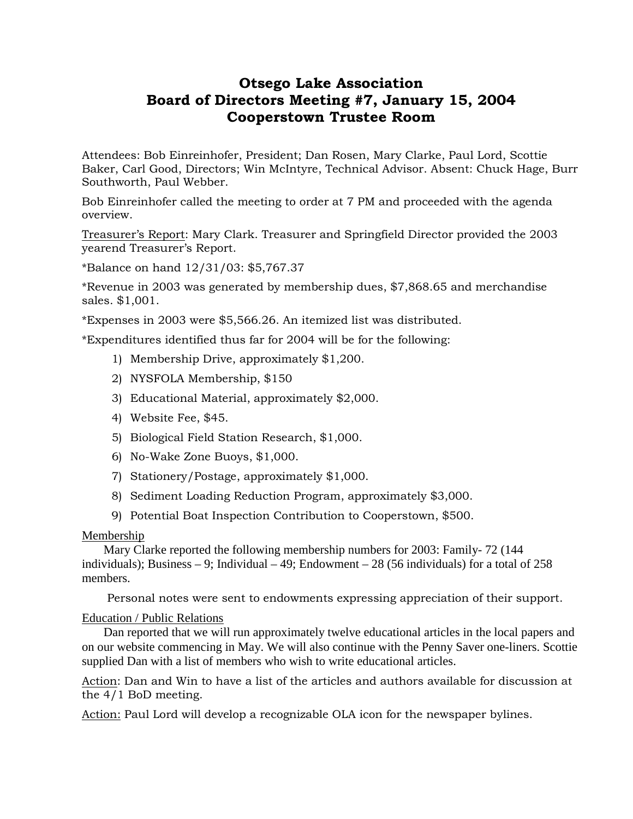# **Otsego Lake Association Board of Directors Meeting #7, January 15, 2004 Cooperstown Trustee Room**

Attendees: Bob Einreinhofer, President; Dan Rosen, Mary Clarke, Paul Lord, Scottie Baker, Carl Good, Directors; Win McIntyre, Technical Advisor. Absent: Chuck Hage, Burr Southworth, Paul Webber.

Bob Einreinhofer called the meeting to order at 7 PM and proceeded with the agenda overview.

Treasurer's Report: Mary Clark. Treasurer and Springfield Director provided the 2003 yearend Treasurer's Report.

\*Balance on hand 12/31/03: \$5,767.37

\*Revenue in 2003 was generated by membership dues, \$7,868.65 and merchandise sales. \$1,001.

\*Expenses in 2003 were \$5,566.26. An itemized list was distributed.

\*Expenditures identified thus far for 2004 will be for the following:

- 1) Membership Drive, approximately \$1,200.
- 2) NYSFOLA Membership, \$150
- 3) Educational Material, approximately \$2,000.
- 4) Website Fee, \$45.
- 5) Biological Field Station Research, \$1,000.
- 6) No-Wake Zone Buoys, \$1,000.
- 7) Stationery/Postage, approximately \$1,000.
- 8) Sediment Loading Reduction Program, approximately \$3,000.
- 9) Potential Boat Inspection Contribution to Cooperstown, \$500.

## Membership

 Mary Clarke reported the following membership numbers for 2003: Family- 72 (144 individuals); Business  $-9$ ; Individual  $-49$ ; Endowment  $-28$  (56 individuals) for a total of 258 members.

Personal notes were sent to endowments expressing appreciation of their support.

## Education / Public Relations

 Dan reported that we will run approximately twelve educational articles in the local papers and on our website commencing in May. We will also continue with the Penny Saver one-liners. Scottie supplied Dan with a list of members who wish to write educational articles.

Action: Dan and Win to have a list of the articles and authors available for discussion at the 4/1 BoD meeting.

Action: Paul Lord will develop a recognizable OLA icon for the newspaper bylines.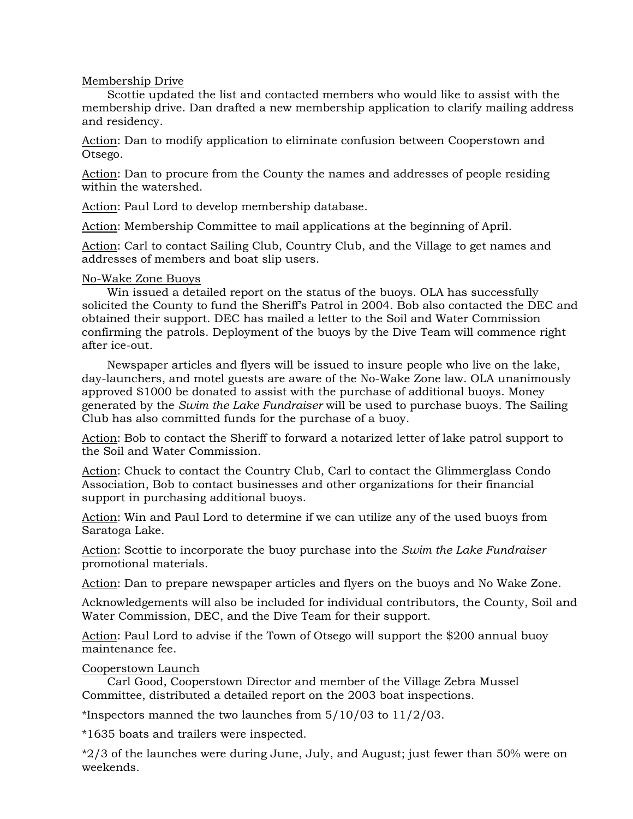# Membership Drive

 Scottie updated the list and contacted members who would like to assist with the membership drive. Dan drafted a new membership application to clarify mailing address and residency.

Action: Dan to modify application to eliminate confusion between Cooperstown and Otsego.

Action: Dan to procure from the County the names and addresses of people residing within the watershed.

Action: Paul Lord to develop membership database.

Action: Membership Committee to mail applications at the beginning of April.

Action: Carl to contact Sailing Club, Country Club, and the Village to get names and addresses of members and boat slip users.

# No-Wake Zone Buoys

 Win issued a detailed report on the status of the buoys. OLA has successfully solicited the County to fund the Sheriff's Patrol in 2004. Bob also contacted the DEC and obtained their support. DEC has mailed a letter to the Soil and Water Commission confirming the patrols. Deployment of the buoys by the Dive Team will commence right after ice-out.

 Newspaper articles and flyers will be issued to insure people who live on the lake, day-launchers, and motel guests are aware of the No-Wake Zone law. OLA unanimously approved \$1000 be donated to assist with the purchase of additional buoys. Money generated by the *Swim the Lake Fundraiser* will be used to purchase buoys. The Sailing Club has also committed funds for the purchase of a buoy.

Action: Bob to contact the Sheriff to forward a notarized letter of lake patrol support to the Soil and Water Commission.

Action: Chuck to contact the Country Club, Carl to contact the Glimmerglass Condo Association, Bob to contact businesses and other organizations for their financial support in purchasing additional buoys.

Action: Win and Paul Lord to determine if we can utilize any of the used buoys from Saratoga Lake.

Action: Scottie to incorporate the buoy purchase into the *Swim the Lake Fundraiser* promotional materials.

Action: Dan to prepare newspaper articles and flyers on the buoys and No Wake Zone.

Acknowledgements will also be included for individual contributors, the County, Soil and Water Commission, DEC, and the Dive Team for their support.

Action: Paul Lord to advise if the Town of Otsego will support the \$200 annual buoy maintenance fee.

Cooperstown Launch

 Carl Good, Cooperstown Director and member of the Village Zebra Mussel Committee, distributed a detailed report on the 2003 boat inspections.

\*Inspectors manned the two launches from 5/10/03 to 11/2/03.

\*1635 boats and trailers were inspected.

\*2/3 of the launches were during June, July, and August; just fewer than 50% were on weekends.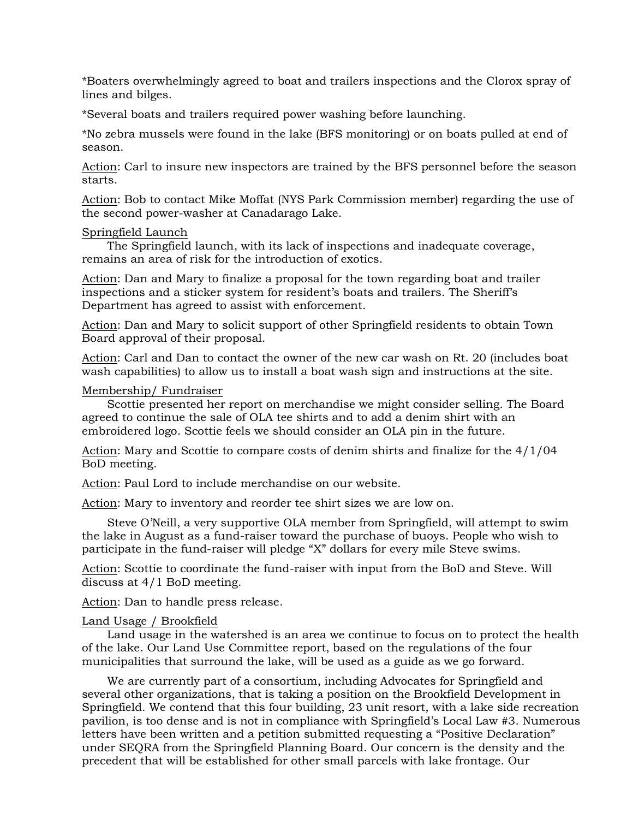\*Boaters overwhelmingly agreed to boat and trailers inspections and the Clorox spray of lines and bilges.

\*Several boats and trailers required power washing before launching.

\*No zebra mussels were found in the lake (BFS monitoring) or on boats pulled at end of season.

Action: Carl to insure new inspectors are trained by the BFS personnel before the season starts.

Action: Bob to contact Mike Moffat (NYS Park Commission member) regarding the use of the second power-washer at Canadarago Lake.

#### Springfield Launch

 The Springfield launch, with its lack of inspections and inadequate coverage, remains an area of risk for the introduction of exotics.

Action: Dan and Mary to finalize a proposal for the town regarding boat and trailer inspections and a sticker system for resident's boats and trailers. The Sheriff's Department has agreed to assist with enforcement.

Action: Dan and Mary to solicit support of other Springfield residents to obtain Town Board approval of their proposal.

Action: Carl and Dan to contact the owner of the new car wash on Rt. 20 (includes boat wash capabilities) to allow us to install a boat wash sign and instructions at the site.

#### Membership/ Fundraiser

 Scottie presented her report on merchandise we might consider selling. The Board agreed to continue the sale of OLA tee shirts and to add a denim shirt with an embroidered logo. Scottie feels we should consider an OLA pin in the future.

Action: Mary and Scottie to compare costs of denim shirts and finalize for the 4/1/04 BoD meeting.

Action: Paul Lord to include merchandise on our website.

Action: Mary to inventory and reorder tee shirt sizes we are low on.

 Steve O'Neill, a very supportive OLA member from Springfield, will attempt to swim the lake in August as a fund-raiser toward the purchase of buoys. People who wish to participate in the fund-raiser will pledge "X" dollars for every mile Steve swims.

Action: Scottie to coordinate the fund-raiser with input from the BoD and Steve. Will discuss at 4/1 BoD meeting.

Action: Dan to handle press release.

#### Land Usage / Brookfield

 Land usage in the watershed is an area we continue to focus on to protect the health of the lake. Our Land Use Committee report, based on the regulations of the four municipalities that surround the lake, will be used as a guide as we go forward.

 We are currently part of a consortium, including Advocates for Springfield and several other organizations, that is taking a position on the Brookfield Development in Springfield. We contend that this four building, 23 unit resort, with a lake side recreation pavilion, is too dense and is not in compliance with Springfield's Local Law #3. Numerous letters have been written and a petition submitted requesting a "Positive Declaration" under SEQRA from the Springfield Planning Board. Our concern is the density and the precedent that will be established for other small parcels with lake frontage. Our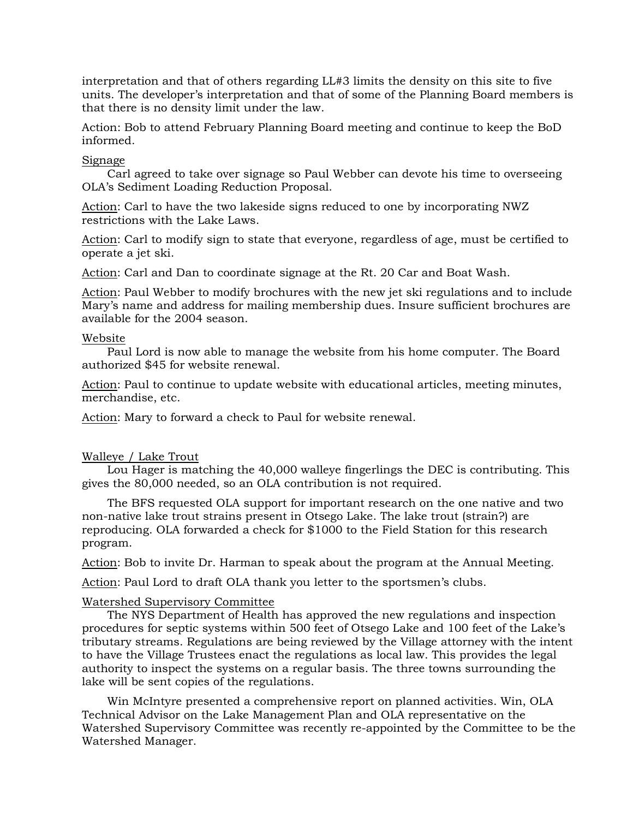interpretation and that of others regarding LL#3 limits the density on this site to five units. The developer's interpretation and that of some of the Planning Board members is that there is no density limit under the law.

Action: Bob to attend February Planning Board meeting and continue to keep the BoD informed.

## Signage

 Carl agreed to take over signage so Paul Webber can devote his time to overseeing OLA's Sediment Loading Reduction Proposal.

Action: Carl to have the two lakeside signs reduced to one by incorporating NWZ restrictions with the Lake Laws.

Action: Carl to modify sign to state that everyone, regardless of age, must be certified to operate a jet ski.

Action: Carl and Dan to coordinate signage at the Rt. 20 Car and Boat Wash.

Action: Paul Webber to modify brochures with the new jet ski regulations and to include Mary's name and address for mailing membership dues. Insure sufficient brochures are available for the 2004 season.

## Website

 Paul Lord is now able to manage the website from his home computer. The Board authorized \$45 for website renewal.

Action: Paul to continue to update website with educational articles, meeting minutes, merchandise, etc.

Action: Mary to forward a check to Paul for website renewal.

## Walleye / Lake Trout

 Lou Hager is matching the 40,000 walleye fingerlings the DEC is contributing. This gives the 80,000 needed, so an OLA contribution is not required.

 The BFS requested OLA support for important research on the one native and two non-native lake trout strains present in Otsego Lake. The lake trout (strain?) are reproducing. OLA forwarded a check for \$1000 to the Field Station for this research program.

Action: Bob to invite Dr. Harman to speak about the program at the Annual Meeting.

Action: Paul Lord to draft OLA thank you letter to the sportsmen's clubs.

## Watershed Supervisory Committee

 The NYS Department of Health has approved the new regulations and inspection procedures for septic systems within 500 feet of Otsego Lake and 100 feet of the Lake's tributary streams. Regulations are being reviewed by the Village attorney with the intent to have the Village Trustees enact the regulations as local law. This provides the legal authority to inspect the systems on a regular basis. The three towns surrounding the lake will be sent copies of the regulations.

 Win McIntyre presented a comprehensive report on planned activities. Win, OLA Technical Advisor on the Lake Management Plan and OLA representative on the Watershed Supervisory Committee was recently re-appointed by the Committee to be the Watershed Manager.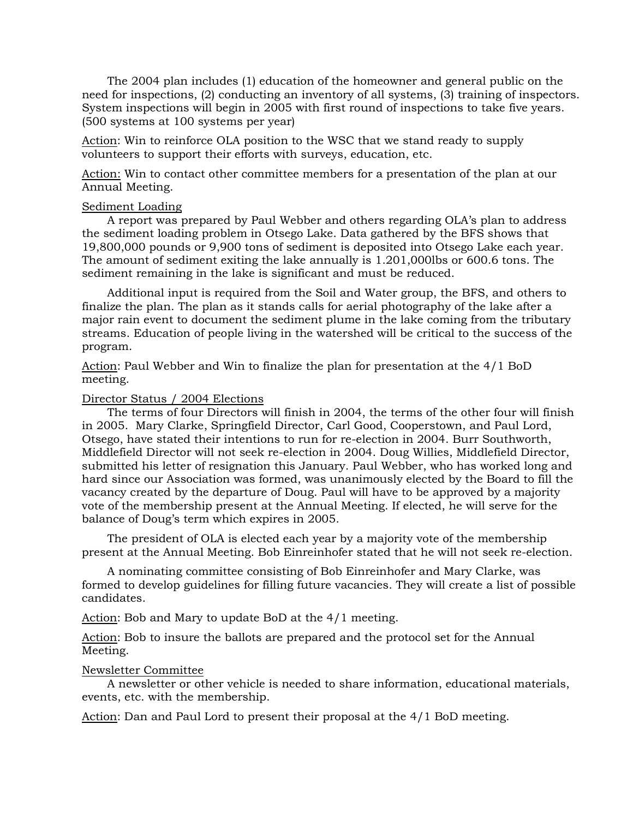The 2004 plan includes (1) education of the homeowner and general public on the need for inspections, (2) conducting an inventory of all systems, (3) training of inspectors. System inspections will begin in 2005 with first round of inspections to take five years. (500 systems at 100 systems per year)

Action: Win to reinforce OLA position to the WSC that we stand ready to supply volunteers to support their efforts with surveys, education, etc.

Action: Win to contact other committee members for a presentation of the plan at our Annual Meeting.

#### Sediment Loading

 A report was prepared by Paul Webber and others regarding OLA's plan to address the sediment loading problem in Otsego Lake. Data gathered by the BFS shows that 19,800,000 pounds or 9,900 tons of sediment is deposited into Otsego Lake each year. The amount of sediment exiting the lake annually is 1.201,000lbs or 600.6 tons. The sediment remaining in the lake is significant and must be reduced.

 Additional input is required from the Soil and Water group, the BFS, and others to finalize the plan. The plan as it stands calls for aerial photography of the lake after a major rain event to document the sediment plume in the lake coming from the tributary streams. Education of people living in the watershed will be critical to the success of the program.

Action: Paul Webber and Win to finalize the plan for presentation at the 4/1 BoD meeting.

#### Director Status / 2004 Elections

 The terms of four Directors will finish in 2004, the terms of the other four will finish in 2005. Mary Clarke, Springfield Director, Carl Good, Cooperstown, and Paul Lord, Otsego, have stated their intentions to run for re-election in 2004. Burr Southworth, Middlefield Director will not seek re-election in 2004. Doug Willies, Middlefield Director, submitted his letter of resignation this January. Paul Webber, who has worked long and hard since our Association was formed, was unanimously elected by the Board to fill the vacancy created by the departure of Doug. Paul will have to be approved by a majority vote of the membership present at the Annual Meeting. If elected, he will serve for the balance of Doug's term which expires in 2005.

 The president of OLA is elected each year by a majority vote of the membership present at the Annual Meeting. Bob Einreinhofer stated that he will not seek re-election.

 A nominating committee consisting of Bob Einreinhofer and Mary Clarke, was formed to develop guidelines for filling future vacancies. They will create a list of possible candidates.

Action: Bob and Mary to update BoD at the 4/1 meeting.

Action: Bob to insure the ballots are prepared and the protocol set for the Annual Meeting.

#### Newsletter Committee

 A newsletter or other vehicle is needed to share information, educational materials, events, etc. with the membership.

Action: Dan and Paul Lord to present their proposal at the 4/1 BoD meeting.